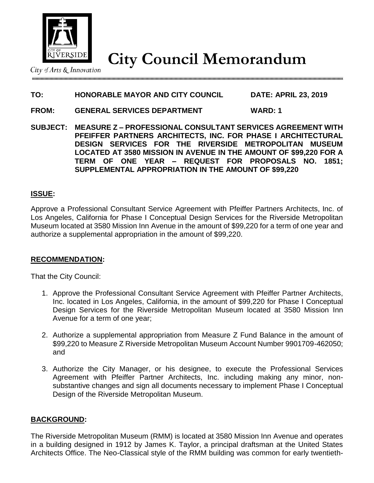

**City Council Memorandum**

City of Arts & Innovation

# **TO: HONORABLE MAYOR AND CITY COUNCIL DATE: APRIL 23, 2019**

- **FROM: GENERAL SERVICES DEPARTMENT WARD: 1**
- **SUBJECT: MEASURE Z – PROFESSIONAL CONSULTANT SERVICES AGREEMENT WITH PFEIFFER PARTNERS ARCHITECTS, INC. FOR PHASE I ARCHITECTURAL DESIGN SERVICES FOR THE RIVERSIDE METROPOLITAN MUSEUM LOCATED AT 3580 MISSION IN AVENUE IN THE AMOUNT OF \$99,220 FOR A TERM OF ONE YEAR – REQUEST FOR PROPOSALS NO. 1851; SUPPLEMENTAL APPROPRIATION IN THE AMOUNT OF \$99,220**

## **ISSUE:**

Approve a Professional Consultant Service Agreement with Pfeiffer Partners Architects, Inc. of Los Angeles, California for Phase I Conceptual Design Services for the Riverside Metropolitan Museum located at 3580 Mission Inn Avenue in the amount of \$99,220 for a term of one year and authorize a supplemental appropriation in the amount of \$99,220.

## **RECOMMENDATION:**

That the City Council:

- 1. Approve the Professional Consultant Service Agreement with Pfeiffer Partner Architects, Inc. located in Los Angeles, California, in the amount of \$99,220 for Phase I Conceptual Design Services for the Riverside Metropolitan Museum located at 3580 Mission Inn Avenue for a term of one year;
- 2. Authorize a supplemental appropriation from Measure Z Fund Balance in the amount of \$99,220 to Measure Z Riverside Metropolitan Museum Account Number 9901709-462050; and
- 3. Authorize the City Manager, or his designee, to execute the Professional Services Agreement with Pfeiffer Partner Architects, Inc. including making any minor, nonsubstantive changes and sign all documents necessary to implement Phase I Conceptual Design of the Riverside Metropolitan Museum.

### **BACKGROUND:**

The Riverside Metropolitan Museum (RMM) is located at 3580 Mission Inn Avenue and operates in a building designed in 1912 by James K. Taylor, a principal draftsman at the United States Architects Office. The Neo-Classical style of the RMM building was common for early twentieth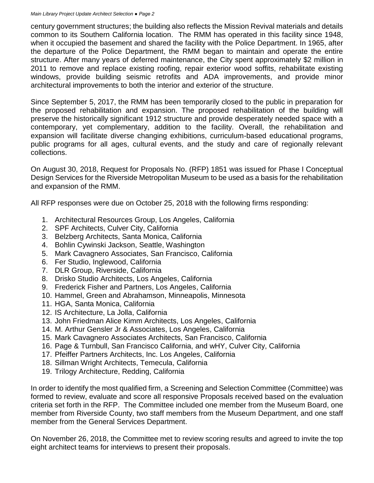century government structures; the building also reflects the Mission Revival materials and details common to its Southern California location. The RMM has operated in this facility since 1948, when it occupied the basement and shared the facility with the Police Department. In 1965, after the departure of the Police Department, the RMM began to maintain and operate the entire structure. After many years of deferred maintenance, the City spent approximately \$2 million in 2011 to remove and replace existing roofing, repair exterior wood soffits, rehabilitate existing windows, provide building seismic retrofits and ADA improvements, and provide minor architectural improvements to both the interior and exterior of the structure.

Since September 5, 2017, the RMM has been temporarily closed to the public in preparation for the proposed rehabilitation and expansion. The proposed rehabilitation of the building will preserve the historically significant 1912 structure and provide desperately needed space with a contemporary, yet complementary, addition to the facility. Overall, the rehabilitation and expansion will facilitate diverse changing exhibitions, curriculum-based educational programs, public programs for all ages, cultural events, and the study and care of regionally relevant collections.

On August 30, 2018, Request for Proposals No. (RFP) 1851 was issued for Phase I Conceptual Design Services for the Riverside Metropolitan Museum to be used as a basis for the rehabilitation and expansion of the RMM.

All RFP responses were due on October 25, 2018 with the following firms responding:

- 1. Architectural Resources Group, Los Angeles, California
- 2. SPF Architects, Culver City, California
- 3. Belzberg Architects, Santa Monica, California
- 4. Bohlin Cywinski Jackson, Seattle, Washington
- 5. Mark Cavagnero Associates, San Francisco, California
- 6. Fer Studio, Inglewood, California
- 7. DLR Group, Riverside, California
- 8. Drisko Studio Architects, Los Angeles, California
- 9. Frederick Fisher and Partners, Los Angeles, California
- 10. Hammel, Green and Abrahamson, Minneapolis, Minnesota
- 11. HGA, Santa Monica, California
- 12. IS Architecture, La Jolla, California
- 13. John Friedman Alice Kimm Architects, Los Angeles, California
- 14. M. Arthur Gensler Jr & Associates, Los Angeles, California
- 15. Mark Cavagnero Associates Architects, San Francisco, California
- 16. Page & Turnbull, San Francisco California, and wHY, Culver City, California
- 17. Pfeiffer Partners Architects, Inc. Los Angeles, California
- 18. Sillman Wright Architects, Temecula, California
- 19. Trilogy Architecture, Redding, California

In order to identify the most qualified firm, a Screening and Selection Committee (Committee) was formed to review, evaluate and score all responsive Proposals received based on the evaluation criteria set forth in the RFP. The Committee included one member from the Museum Board, one member from Riverside County, two staff members from the Museum Department, and one staff member from the General Services Department.

On November 26, 2018, the Committee met to review scoring results and agreed to invite the top eight architect teams for interviews to present their proposals.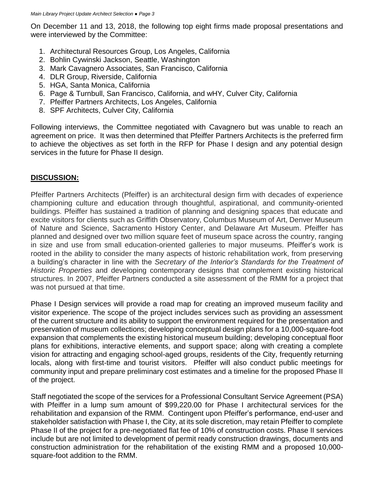On December 11 and 13, 2018, the following top eight firms made proposal presentations and were interviewed by the Committee:

- 1. Architectural Resources Group, Los Angeles, California
- 2. Bohlin Cywinski Jackson, Seattle, Washington
- 3. Mark Cavagnero Associates, San Francisco, California
- 4. DLR Group, Riverside, California
- 5. HGA, Santa Monica, California
- 6. Page & Turnbull, San Francisco, California, and wHY, Culver City, California
- 7. Pfeiffer Partners Architects, Los Angeles, California
- 8. SPF Architects, Culver City, California

Following interviews, the Committee negotiated with Cavagnero but was unable to reach an agreement on price. It was then determined that Pfeiffer Partners Architects is the preferred firm to achieve the objectives as set forth in the RFP for Phase I design and any potential design services in the future for Phase II design.

## **DISCUSSION:**

Pfeiffer Partners Architects (Pfeiffer) is an architectural design firm with decades of experience championing culture and education through thoughtful, aspirational, and community-oriented buildings. Pfeiffer has sustained a tradition of planning and designing spaces that educate and excite visitors for clients such as Griffith Observatory, Columbus Museum of Art, Denver Museum of Nature and Science, Sacramento History Center, and Delaware Art Museum. Pfeiffer has planned and designed over two million square feet of museum space across the country, ranging in size and use from small education-oriented galleries to major museums. Pfeiffer's work is rooted in the ability to consider the many aspects of historic rehabilitation work, from preserving a building's character in line with the *Secretary of the Interior's Standards for the Treatment of Historic Properties* and developing contemporary designs that complement existing historical structures. In 2007, Pfeiffer Partners conducted a site assessment of the RMM for a project that was not pursued at that time.

Phase I Design services will provide a road map for creating an improved museum facility and visitor experience. The scope of the project includes services such as providing an assessment of the current structure and its ability to support the environment required for the presentation and preservation of museum collections; developing conceptual design plans for a 10,000-square-foot expansion that complements the existing historical museum building; developing conceptual floor plans for exhibitions, interactive elements, and support space; along with creating a complete vision for attracting and engaging school-aged groups, residents of the City, frequently returning locals, along with first-time and tourist visitors. Pfeiffer will also conduct public meetings for community input and prepare preliminary cost estimates and a timeline for the proposed Phase II of the project.

Staff negotiated the scope of the services for a Professional Consultant Service Agreement (PSA) with Pfeiffer in a lump sum amount of \$99,220.00 for Phase I architectural services for the rehabilitation and expansion of the RMM. Contingent upon Pfeiffer's performance, end-user and stakeholder satisfaction with Phase I, the City, at its sole discretion, may retain Pfeiffer to complete Phase II of the project for a pre-negotiated flat fee of 10% of construction costs. Phase II services include but are not limited to development of permit ready construction drawings, documents and construction administration for the rehabilitation of the existing RMM and a proposed 10,000 square-foot addition to the RMM.